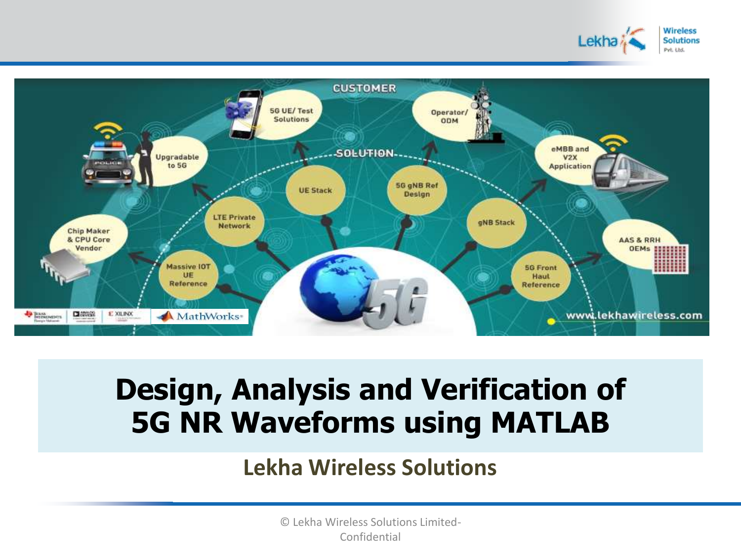



# **Design, Analysis and Verification of 5G NR Waveforms using MATLAB**

#### **Lekha Wireless Solutions**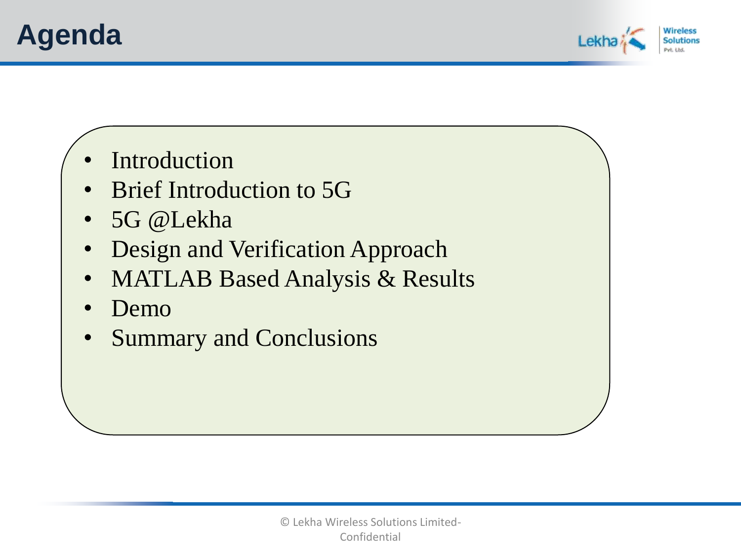## **Agenda**



- **Introduction**
- Brief Introduction to 5G
- 5G @Lekha
- Design and Verification Approach
- MATLAB Based Analysis & Results
- Demo
- Summary and Conclusions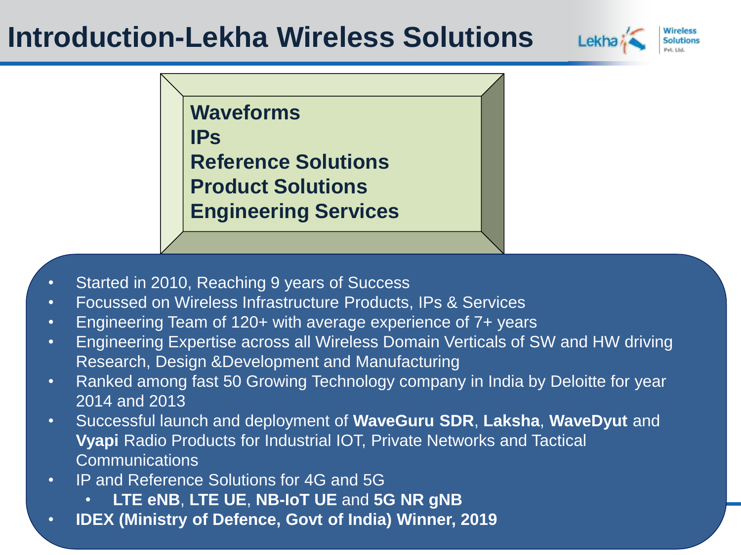## **Introduction-Lekha Wireless Solutions**



**Waveforms IPs Reference Solutions Product Solutions Engineering Services**

- Started in 2010, Reaching 9 years of Success
- Focussed on Wireless Infrastructure Products, IPs & Services
- Engineering Team of 120+ with average experience of 7+ years
- Engineering Expertise across all Wireless Domain Verticals of SW and HW driving Research, Design &Development and Manufacturing
- Ranked among fast 50 Growing Technology company in India by Deloitte for year 2014 and 2013
- Successful launch and deployment of **WaveGuru SDR**, **Laksha**, **WaveDyut** and **Vyapi** Radio Products for Industrial IOT, Private Networks and Tactical **Communications**
- IP and Reference Solutions for 4G and 5G
	- **LTE eNB**, **LTE UE**, **NB-IoT UE** and **5G NR gNB**
- **IDEX (Ministry of Defence, Govt of India) Winner, 2019**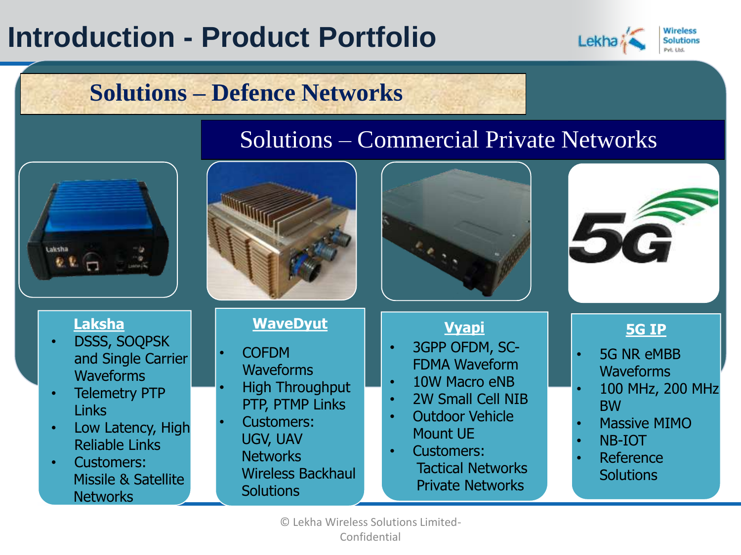# **Introduction - Product Portfolio**



### **Solutions – Defence Networks**

#### Solutions – Commercial Private Networks

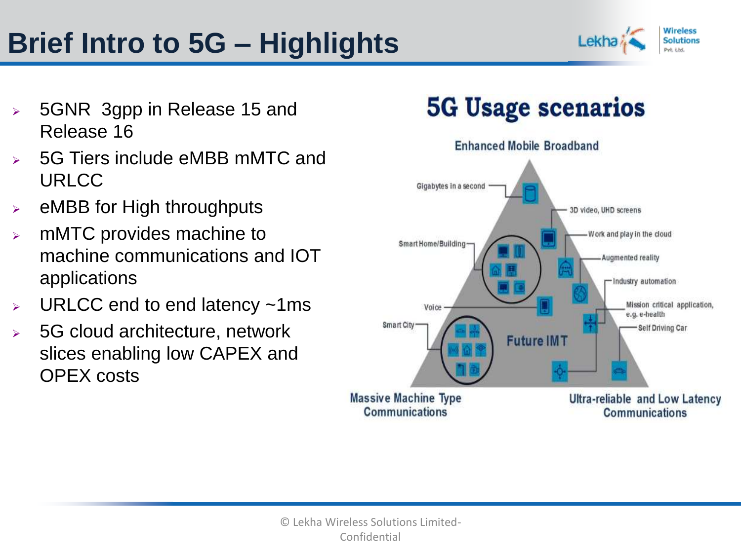# **Brief Intro to 5G – Highlights**



- ➢ 5GNR 3gpp in Release 15 and Release 16
- ➢ 5G Tiers include eMBB mMTC and URLCC
- $\triangleright$  eMBB for High throughputs
- $\triangleright$  mMTC provides machine to machine communications and IOT applications
- $\triangleright$  URLCC end to end latency  $\sim$ 1ms
- ➢ 5G cloud architecture, network slices enabling low CAPEX and OPEX costs

## **5G Usage scenarios**

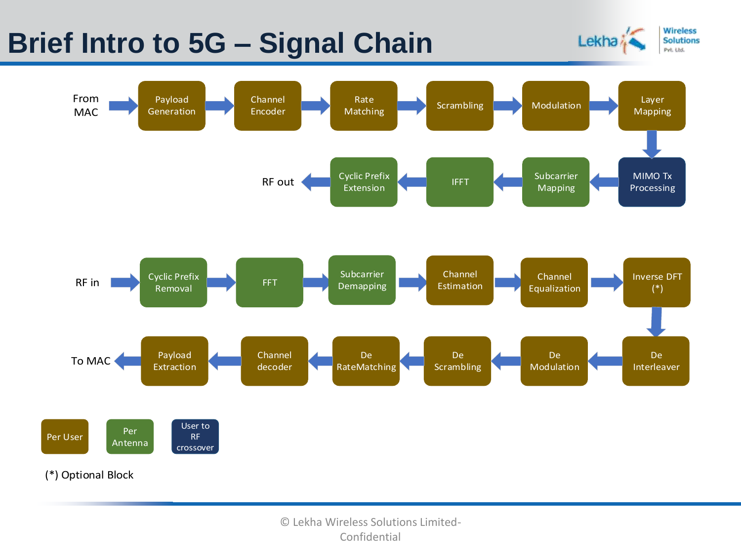## **Brief Intro to 5G – Signal Chain**



**Wireless** 

**Solutions** Pvt. Ltd.

Lekha<sup>\*</sup>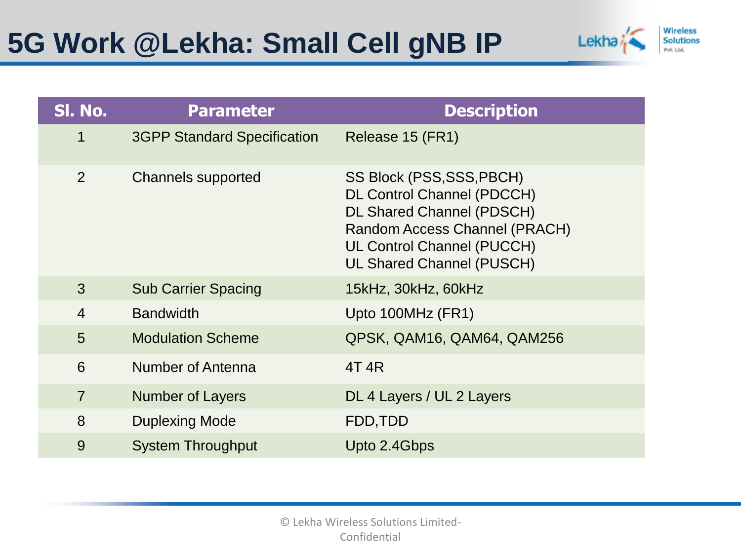

| SI. No.        | <b>Parameter</b>                   | <b>Description</b>                                                                                                                                                                                           |
|----------------|------------------------------------|--------------------------------------------------------------------------------------------------------------------------------------------------------------------------------------------------------------|
| 1              | <b>3GPP Standard Specification</b> | Release 15 (FR1)                                                                                                                                                                                             |
| $\overline{2}$ | <b>Channels supported</b>          | SS Block (PSS, SSS, PBCH)<br><b>DL Control Channel (PDCCH)</b><br><b>DL Shared Channel (PDSCH)</b><br>Random Access Channel (PRACH)<br><b>UL Control Channel (PUCCH)</b><br><b>UL Shared Channel (PUSCH)</b> |
| 3              | <b>Sub Carrier Spacing</b>         | 15kHz, 30kHz, 60kHz                                                                                                                                                                                          |
| $\overline{4}$ | <b>Bandwidth</b>                   | Upto 100MHz (FR1)                                                                                                                                                                                            |
| 5              | <b>Modulation Scheme</b>           | QPSK, QAM16, QAM64, QAM256                                                                                                                                                                                   |
| 6              | Number of Antenna                  | 4T 4R                                                                                                                                                                                                        |
| $\overline{7}$ | <b>Number of Layers</b>            | DL 4 Layers / UL 2 Layers                                                                                                                                                                                    |
| 8              | <b>Duplexing Mode</b>              | FDD, TDD                                                                                                                                                                                                     |
| 9              | <b>System Throughput</b>           | Upto 2.4Gbps                                                                                                                                                                                                 |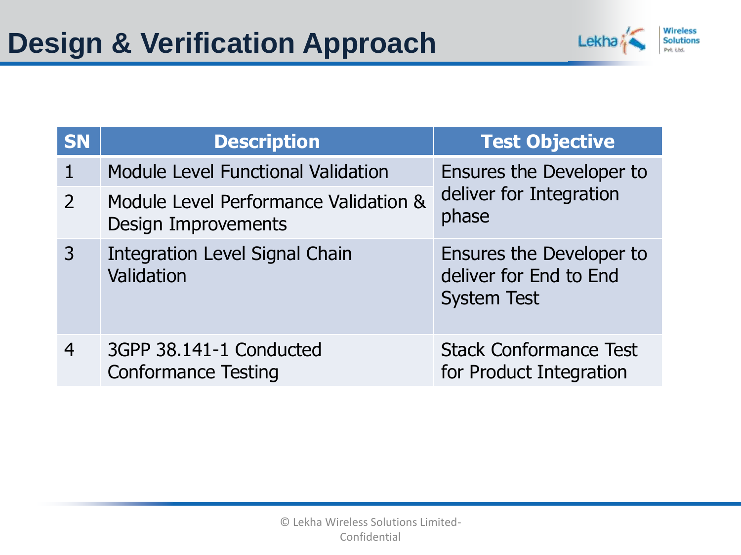

| <b>SN</b> | <b>Description</b>                                           | <b>Test Objective</b>                                                    |
|-----------|--------------------------------------------------------------|--------------------------------------------------------------------------|
|           | <b>Module Level Functional Validation</b>                    | Ensures the Developer to                                                 |
| 2         | Module Level Performance Validation &<br>Design Improvements | deliver for Integration<br>phase                                         |
| 3         | <b>Integration Level Signal Chain</b><br>Validation          | Ensures the Developer to<br>deliver for End to End<br><b>System Test</b> |
| 4         | 3GPP 38.141-1 Conducted<br><b>Conformance Testing</b>        | <b>Stack Conformance Test</b><br>for Product Integration                 |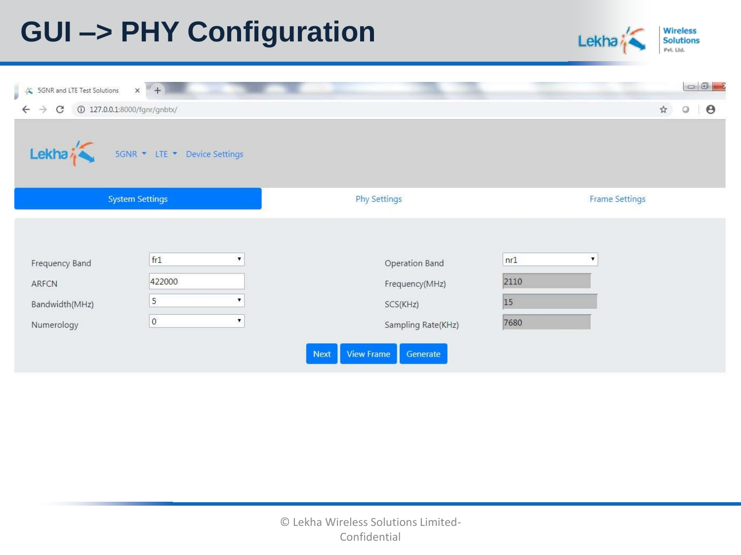# **GUI –> PHY Configuration**



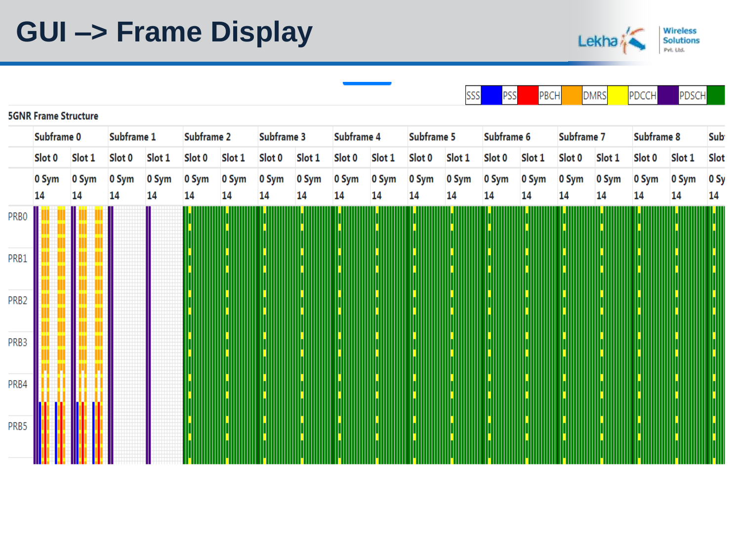# **GUI –> Frame Display**



|                   |                             |             |             |             |             |             |             |             |             |             |             | SSS         | <b>PSS</b>  | PBCH        |             | <b>DMRS</b> | PDCCH       | PDSCH       |            |
|-------------------|-----------------------------|-------------|-------------|-------------|-------------|-------------|-------------|-------------|-------------|-------------|-------------|-------------|-------------|-------------|-------------|-------------|-------------|-------------|------------|
|                   | <b>5GNR Frame Structure</b> |             |             |             |             |             |             |             |             |             |             |             |             |             |             |             |             |             |            |
|                   | Subframe 0                  |             | Subframe 1  |             | Subframe 2  |             | Subframe 3  |             | Subframe 4  |             | Subframe 5  |             | Subframe 6  |             | Subframe 7  |             | Subframe 8  |             | Sub        |
|                   | Slot 0                      | Slot 1      | Slot 0      | Slot 1      | Slot 0      | Slot 1      | Slot 0      | Slot 1      | Slot 0      | Slot 1      | Slot 0      | Slot 1      | Slot 0      | Slot 1      | Slot 0      | Slot 1      | Slot 0      | Slot 1      | Slot       |
|                   | 0 Sym<br>14                 | 0 Sym<br>14 | 0 Sym<br>14 | 0 Sym<br>14 | 0 Sym<br>14 | 0 Sym<br>14 | 0 Sym<br>14 | 0 Sym<br>14 | 0 Sym<br>14 | 0 Sym<br>14 | 0 Sym<br>14 | 0 Sym<br>14 | 0 Sym<br>14 | 0 Sym<br>14 | 0 Sym<br>14 | 0 Sym<br>14 | 0 Sym<br>14 | 0 Sym<br>14 | 0 Sy<br>14 |
| PR <sub>B</sub> 0 |                             |             |             |             |             |             |             |             |             |             |             |             |             |             |             |             |             |             |            |
| PRB1              |                             |             |             |             |             |             |             |             |             |             |             |             |             |             |             |             |             |             |            |
| PRB <sub>2</sub>  |                             |             |             |             |             |             |             |             |             |             |             |             |             |             |             |             |             |             |            |
| PRB <sub>3</sub>  |                             |             |             |             |             |             |             |             |             |             |             |             |             |             |             |             |             |             |            |
| PRB4              |                             |             |             |             |             |             |             |             |             |             |             |             |             |             |             |             |             |             |            |
| PRB5              |                             |             |             |             |             |             |             |             |             |             |             |             |             |             |             |             |             |             |            |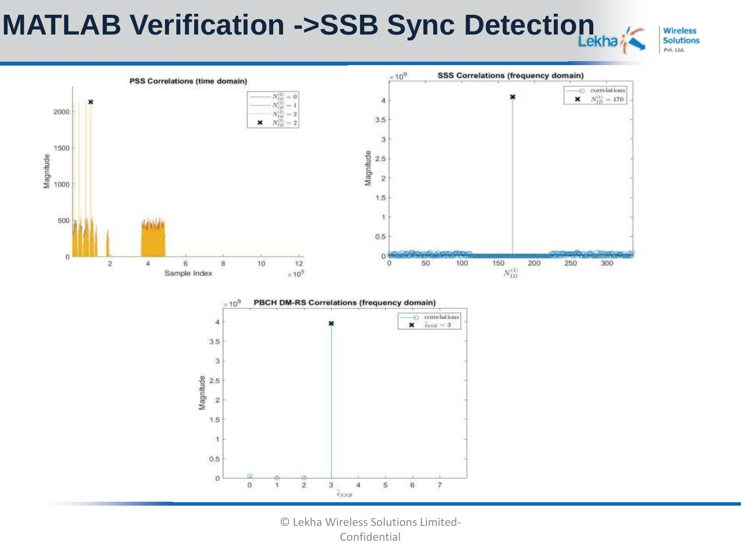# **MATLAB Verification ->SSB Sync Detection**

**Wireless Solutions** Pvt. Ltd.



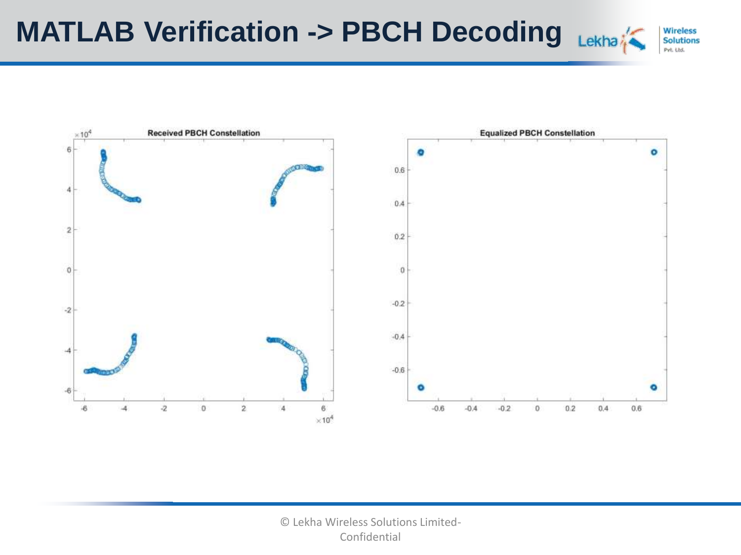

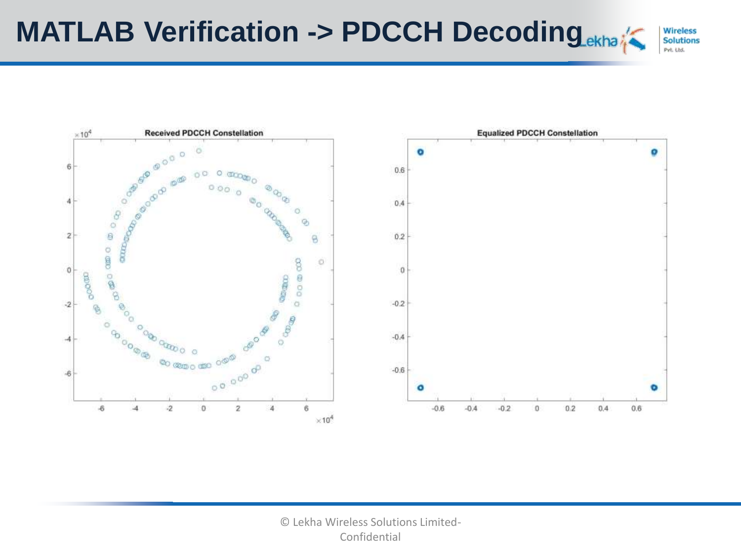

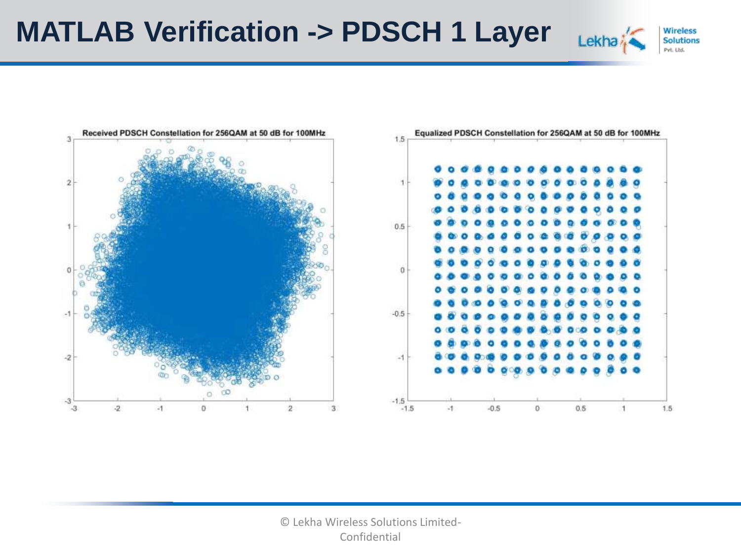



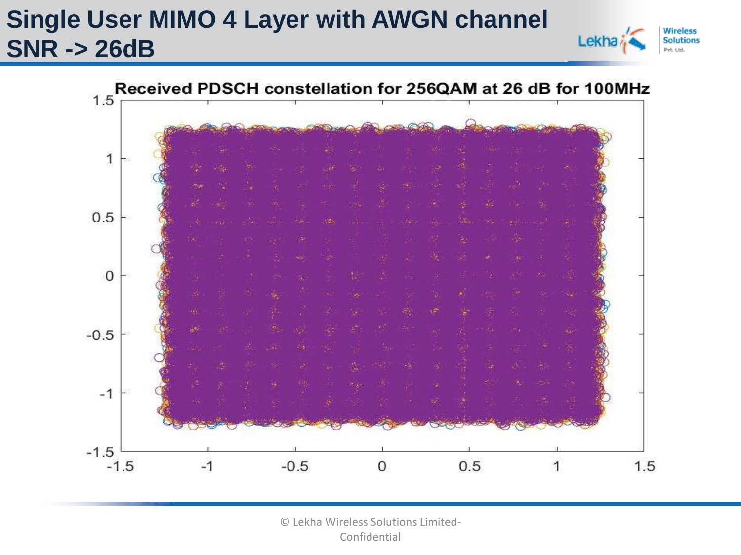## **Single User MIMO 4 Layer with AWGN channel SNR -> 26dB**



Lekha

**Solutions**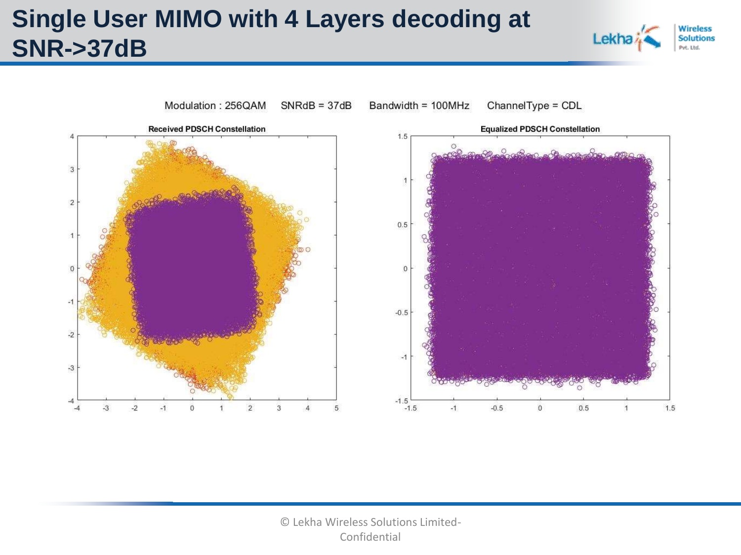## **Single User MIMO with 4 Layers decoding at SNR->37dB**



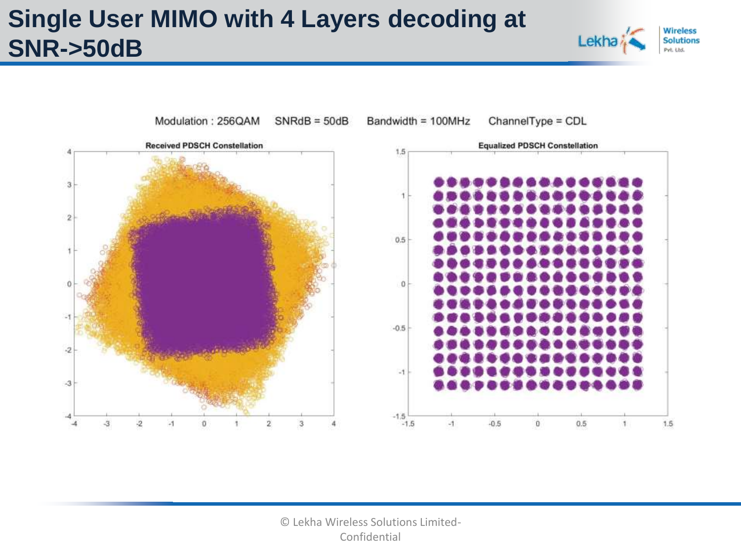## **Single User MIMO with 4 Layers decoding at SNR->50dB**



**Wireless** 

**Solutions** Pvt. Ltd.

Lekha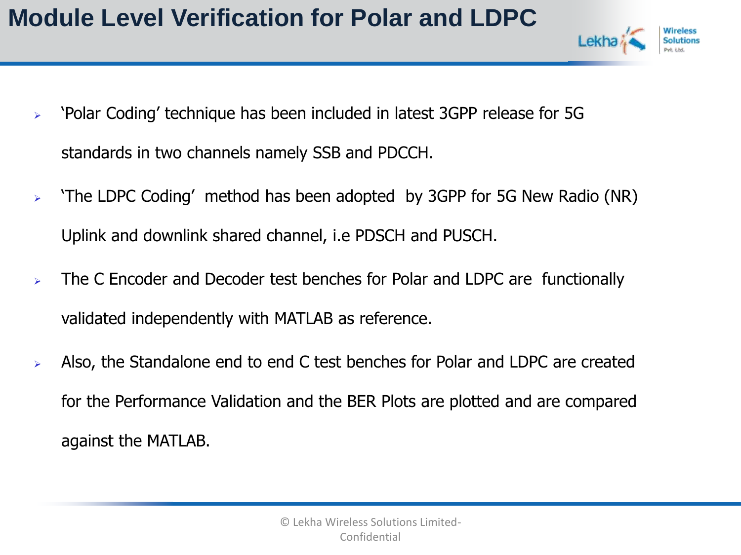- Lekh
- ➢ 'Polar Coding' technique has been included in latest 3GPP release for 5G standards in two channels namely SSB and PDCCH.
- ➢ 'The LDPC Coding' method has been adopted by 3GPP for 5G New Radio (NR) Uplink and downlink shared channel, i.e PDSCH and PUSCH.
- $\triangleright$  The C Encoder and Decoder test benches for Polar and LDPC are functionally validated independently with MATLAB as reference.
- ➢ Also, the Standalone end to end C test benches for Polar and LDPC are created for the Performance Validation and the BER Plots are plotted and are compared against the MATLAB.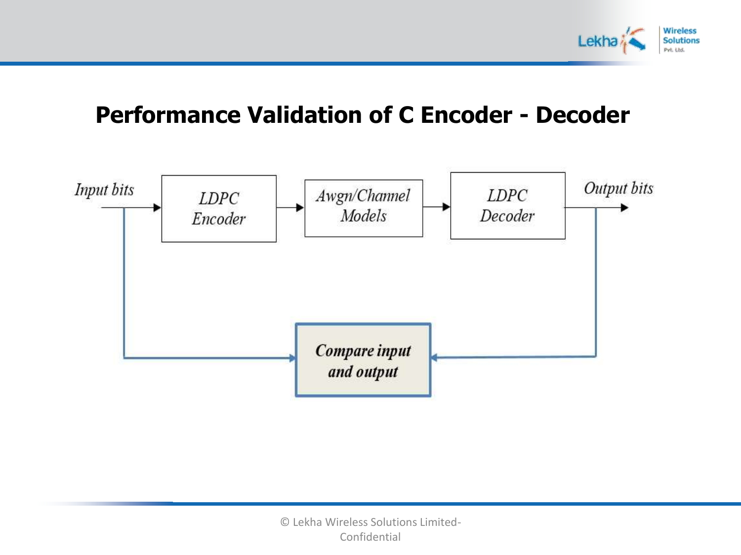

#### **Performance Validation of C Encoder - Decoder**

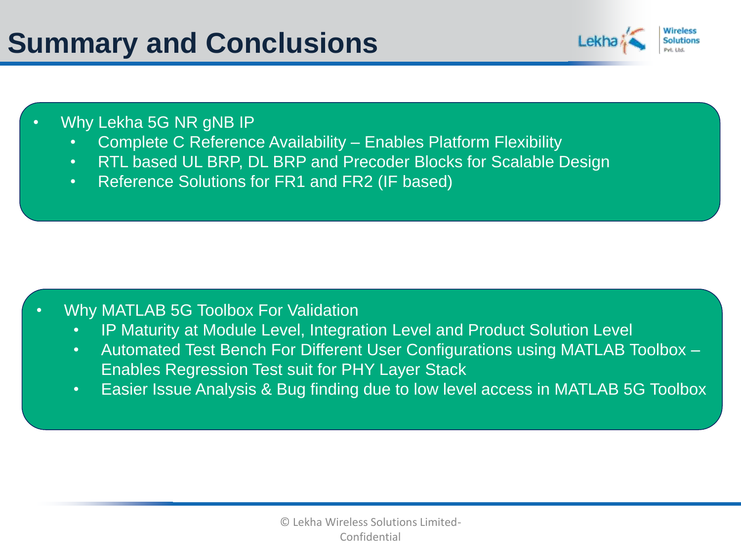## **Summary and Conclusions**



#### • Why Lekha 5G NR gNB IP

- Complete C Reference Availability Enables Platform Flexibility
- RTL based UL BRP, DL BRP and Precoder Blocks for Scalable Design
- Reference Solutions for FR1 and FR2 (IF based)

#### • Why MATLAB 5G Toolbox For Validation

- IP Maturity at Module Level, Integration Level and Product Solution Level
- Automated Test Bench For Different User Configurations using MATLAB Toolbox -Enables Regression Test suit for PHY Layer Stack
- Easier Issue Analysis & Bug finding due to low level access in MATLAB 5G Toolbox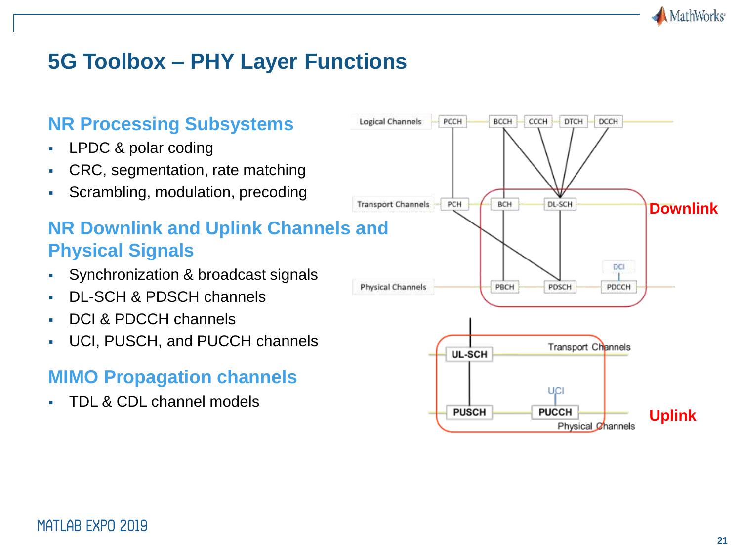

#### **5G Toolbox – PHY Layer Functions**



- LPDC & polar coding
- CRC, segmentation, rate matching
- Scrambling, modulation, precoding

#### **NR Downlink and Uplink Channels and Physical Signals**

- Synchronization & broadcast signals
- DL-SCH & PDSCH channels
- DCI & PDCCH channels
- UCI, PUSCH, and PUCCH channels

#### **MIMO Propagation channels**

TDL & CDL channel models

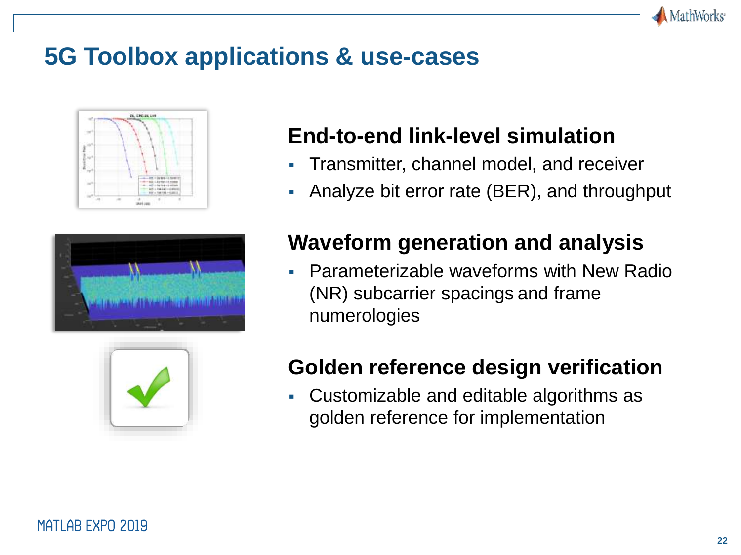

### **5G Toolbox applications & use-cases**







#### **End-to-end link-level simulation**

- **Transmitter, channel model, and receiver**
- Analyze bit error rate (BER), and throughput

#### **Waveform generation and analysis**

**• Parameterizable waveforms with New Radio** (NR) subcarrier spacings and frame numerologies

#### **Golden reference design verification**

▪ Customizable and editable algorithms as golden reference for implementation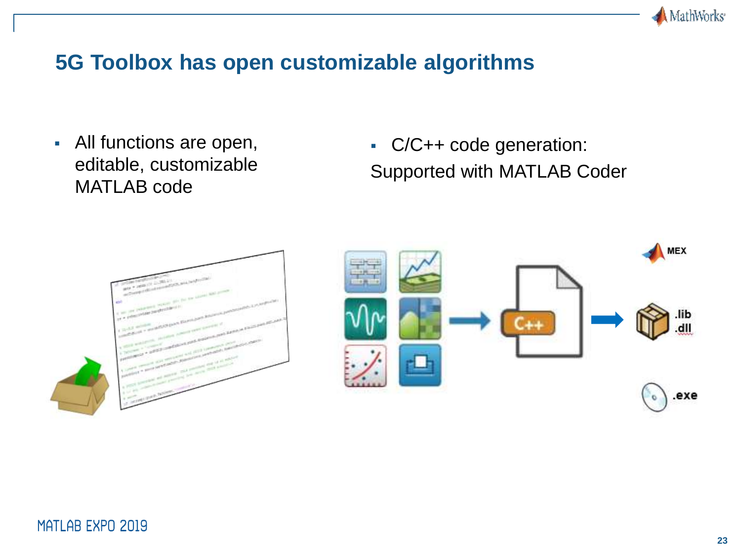

#### **5G Toolbox has open customizable algorithms**

▪ All functions are open, editable, customizable MATLAB code

▪ C/C++ code generation: Supported with MATLAB Coder



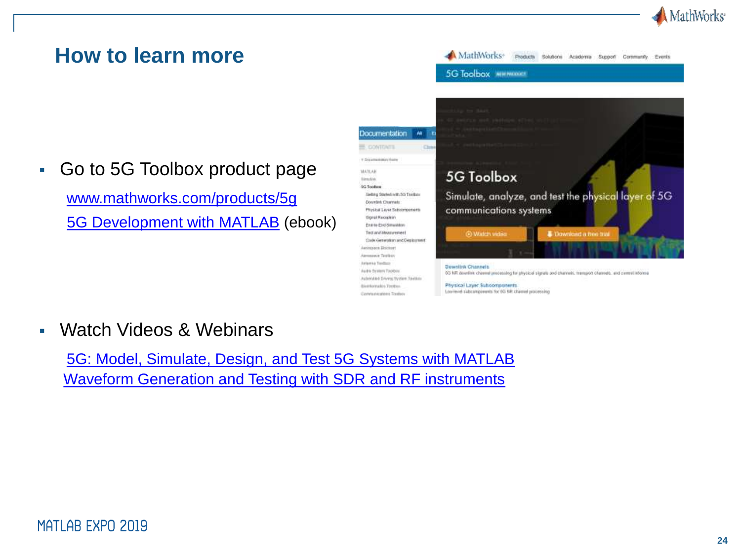

#### **How to learn more**

▪ Go to 5G Toolbox product page [www.mathworks.com/products/5g](http://www.mathworks.com/products/5g) [5G Development with MATLAB](https://www.mathworks.com/campaigns/products/offer/5g-technology-ebook.html) (ebook)



▪ Watch Videos & Webinars

[5G: Model, Simulate, Design, and Test 5G Systems with MATLAB](https://in.mathworks.com/videos/5g-model-simulate-design-and-test-5g-systems-with-matlab-1538401305240.html) [Waveform Generation and Testing with SDR and RF instruments](http://in.mathworks.com/videos/waveform-generation-and-testing-with-software-defined-radios-sdr-and-rf-instruments-100661.html)